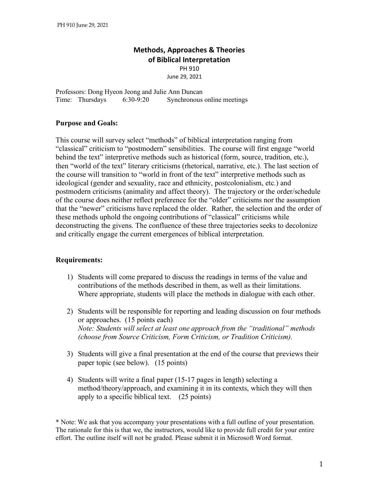# **Methods, Approaches & Theories of Biblical Interpretation**

PH 910

June 29, 2021

Professors: Dong Hyeon Jeong and Julie Ann Duncan Time: Thursdays 6:30-9:20 Synchronous online meetings

## **Purpose and Goals:**

This course will survey select "methods" of biblical interpretation ranging from "classical" criticism to "postmodern" sensibilities. The course will first engage "world behind the text" interpretive methods such as historical (form, source, tradition, etc.), then "world of the text" literary criticisms (rhetorical, narrative, etc.). The last section of the course will transition to "world in front of the text" interpretive methods such as ideological (gender and sexuality, race and ethnicity, postcolonialism, etc.) and postmodern criticisms (animality and affect theory). The trajectory or the order/schedule of the course does neither reflect preference for the "older" criticisms nor the assumption that the "newer" criticisms have replaced the older. Rather, the selection and the order of these methods uphold the ongoing contributions of "classical" criticisms while deconstructing the givens. The confluence of these three trajectories seeks to decolonize and critically engage the current emergences of biblical interpretation.

## **Requirements:**

- 1) Students will come prepared to discuss the readings in terms of the value and contributions of the methods described in them, as well as their limitations. Where appropriate, students will place the methods in dialogue with each other.
- 2) Students will be responsible for reporting and leading discussion on four methods or approaches. (15 points each) *Note: Students will select at least one approach from the "traditional" methods (choose from Source Criticism, Form Criticism, or Tradition Criticism).*
- 3) Students will give a final presentation at the end of the course that previews their paper topic (see below). (15 points)
- 4) Students will write a final paper (15-17 pages in length) selecting a method/theory/approach, and examining it in its contexts, which they will then apply to a specific biblical text. (25 points)

\* Note: We ask that you accompany your presentations with a full outline of your presentation. The rationale for this is that we, the instructors, would like to provide full credit for your entire effort. The outline itself will not be graded. Please submit it in Microsoft Word format.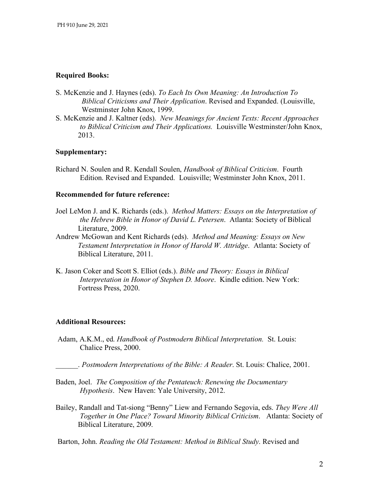# **Required Books:**

- S. McKenzie and J. Haynes (eds). *To Each Its Own Meaning: An Introduction To Biblical Criticisms and Their Application*. Revised and Expanded. (Louisville, Westminster John Knox, 1999.
- S. McKenzie and J. Kaltner (eds). *New Meanings for Ancient Texts: Recent Approaches to Biblical Criticism and Their Applications.* Louisville Westminster/John Knox, 2013.

## **Supplementary:**

Richard N. Soulen and R. Kendall Soulen, *Handbook of Biblical Criticism*. Fourth Edition. Revised and Expanded. Louisville; Westminster John Knox, 2011.

## **Recommended for future reference:**

- Joel LeMon J. and K. Richards (eds.). *Method Matters: Essays on the Interpretation of the Hebrew Bible in Honor of David L. Petersen*. Atlanta: Society of Biblical Literature, 2009.
- Andrew McGowan and Kent Richards (eds). *Method and Meaning: Essays on New Testament Interpretation in Honor of Harold W. Attridge*. Atlanta: Society of Biblical Literature, 2011.
- K. Jason Coker and Scott S. Elliot (eds.). *Bible and Theory: Essays in Biblical Interpretation in Honor of Stephen D. Moore*. Kindle edition. New York: Fortress Press, 2020.

#### **Additional Resources:**

Adam, A.K.M., ed. *Handbook of Postmodern Biblical Interpretation.* St. Louis: Chalice Press, 2000.

\_\_\_\_\_\_. *Postmodern Interpretations of the Bible: A Reader*. St. Louis: Chalice, 2001.

- Baden, Joel. *The Composition of the Pentateuch: Renewing the Documentary Hypothesis*. New Haven: Yale University, 2012.
- Bailey, Randall and Tat-siong "Benny" Liew and Fernando Segovia, eds. *They Were All Together in One Place? Toward Minority Biblical Criticism*. Atlanta: Society of Biblical Literature, 2009.

Barton, John. *Reading the Old Testament: Method in Biblical Study*. Revised and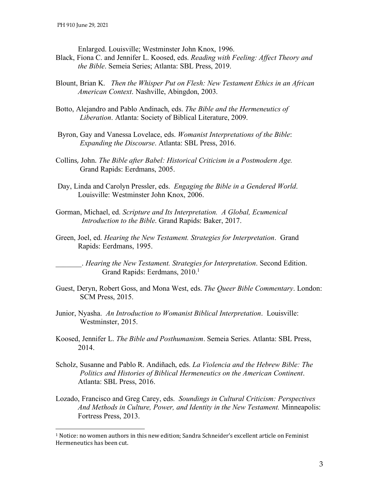$\overline{a}$ 

Enlarged. Louisville; Westminster John Knox, 1996.

- Black, Fiona C. and Jennifer L. Koosed, eds. *Reading with Feeling: Affect Theory and the Bible*. Semeia Series; Atlanta: SBL Press, 2019.
- Blount, Brian K. *Then the Whisper Put on Flesh: New Testament Ethics in an African American Context*. Nashville, Abingdon, 2003.
- Botto, Alejandro and Pablo Andinach, eds. *The Bible and the Hermeneutics of Liberation*. Atlanta: Society of Biblical Literature, 2009.
- Byron, Gay and Vanessa Lovelace, eds. *Womanist Interpretations of the Bible*: *Expanding the Discourse*. Atlanta: SBL Press, 2016.
- Collins, John. *The Bible after Babel: Historical Criticism in a Postmodern Age.* Grand Rapids: Eerdmans, 2005.
- Day, Linda and Carolyn Pressler, eds. *Engaging the Bible in a Gendered World*. Louisville: Westminster John Knox, 2006.
- Gorman, Michael, ed. *Scripture and Its Interpretation. A Global, Ecumenical Introduction to the Bible*. Grand Rapids: Baker, 2017.
- Green, Joel, ed. *Hearing the New Testament. Strategies for Interpretation*. Grand Rapids: Eerdmans, 1995.

\_\_\_\_\_\_\_. *Hearing the New Testament. Strategies for Interpretation*. Second Edition. Grand Rapids: Eerdmans, 2010.<sup>1</sup>

- Guest, Deryn, Robert Goss, and Mona West, eds. *The Queer Bible Commentary*. London: SCM Press, 2015.
- Junior, Nyasha. *An Introduction to Womanist Biblical Interpretation*. Louisville: Westminster, 2015.
- Koosed, Jennifer L. *The Bible and Posthumanism*. Semeia Series. Atlanta: SBL Press, 2014.
- Scholz, Susanne and Pablo R. Andiñach, eds. *La Violencia and the Hebrew Bible: The Politics and Histories of Biblical Hermeneutics on the American Continent*. Atlanta: SBL Press, 2016.
- Lozado, Francisco and Greg Carey, eds. *Soundings in Cultural Criticism: Perspectives And Methods in Culture, Power, and Identity in the New Testament.* Minneapolis: Fortress Press, 2013.

 $1$  Notice: no women authors in this new edition; Sandra Schneider's excellent article on Feminist Hermeneutics has been cut.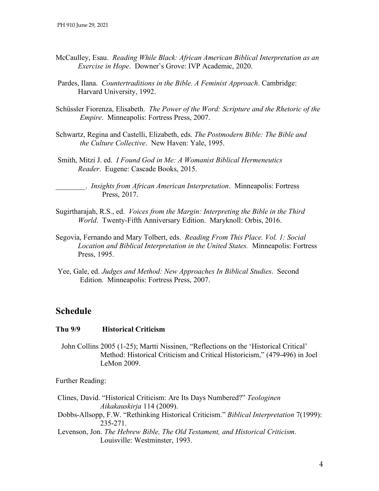- McCaulley, Esau. *Reading While Black: African American Biblical Interpretation as an Exercise in Hope*. Downer's Grove: IVP Academic, 2020.
- Pardes, Ilana. *Countertraditions in the Bible. A Feminist Approach*. Cambridge: Harvard University, 1992.
- Schüssler Fiorenza, Elisabeth. *The Power of the Word: Scripture and the Rhetoric of the Empire*. Minneapolis: Fortress Press, 2007.
- Schwartz, Regina and Castelli, Elizabeth, eds. *The Postmodern Bible: The Bible and the Culture Collective*. New Haven: Yale, 1995.
- Smith, Mitzi J. ed. *I Found God in Me: A Womanist Biblical Hermeneutics Reader*. Eugene: Cascade Books, 2015.

\_\_\_\_\_\_\_\_. *Insights from African American Interpretation*. Minneapolis: Fortress Press, 2017.

- Sugirtharajah, R.S., ed. *Voices from the Margin: Interpreting the Bible in the Third World*. Twenty-Fifth Anniversary Edition. Maryknoll: Orbis, 2016.
- Segovia, Fernando and Mary Tolbert, eds. *Reading From This Place. Vol. 1: Social Location and Biblical Interpretation in the United States.* Minneapolis: Fortress Press, 1995.
- Yee, Gale, ed. *Judges and Method: New Approaches In Biblical Studies*. Second Edition. Minneapolis: Fortress Press, 2007.

# **Schedule**

#### **Thu 9/9 Historical Criticism**

 John Collins 2005 (1-25); Martti Nissinen, "Reflections on the 'Historical Critical' Method: Historical Criticism and Critical Historicism," (479-496) in Joel LeMon 2009.

Further Reading:

- Clines, David. "Historical Criticism: Are Its Days Numbered?" *Teologinen Aikakauskirja* 114 (2009).
- Dobbs-Allsopp, F.W. "Rethinking Historical Criticism." *Biblical Interpretation* 7(1999): 235-271.
- Levenson, Jon. *The Hebrew Bible, The Old Testament, and Historical Criticism*. Louisville: Westminster, 1993.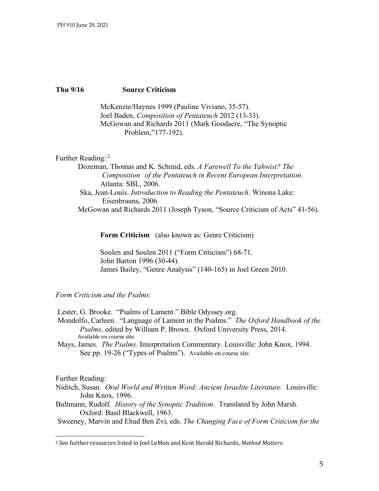## **Thu 9/16 Source Criticism**

McKenzie/Haynes 1999 (Pauline Viviano, 35-57). Joel Baden, *Composition of Pentateuch* 2012 (13-33). McGowan and Richards 2011 (Mark Goodacre, "The Synoptic Problem,"177-192).

#### Further Reading: <sup>2</sup>

Dozeman, Thomas and K. Schmid, eds. *A Farewell To the Yahwist? The Composition of the Pentateuch in Recent European Interpretation*. Atlanta: SBL, 2006. Ska, Jean-Louis. *Introduction to Reading the Pentateuch*. Winona Lake: Eisenbrauns, 2006. McGowan and Richards 2011 (Joseph Tyson, "Source Criticism of Acts" 41-56).

**Form Criticism** (also known as: Genre Criticism)

Soulen and Soulen 2011 ("Form Criticism") 68-71. John Barton 1996 (30-44). James Bailey, "Genre Analysis" (140-165) in Joel Green 2010.

#### *Form Criticism and the Psalms*:

Lester, G. Brooke. "Psalms of Lament." Bible Odyssey.org.

Mondolfo, Carleen. "Language of Lament in the Psalms." *The Oxford Handbook of the Psalms*, edited by William P. Brown. Oxford University Press, 2014. Available on course site.

Mays, James. *The Psalms*. Interpretation Commentary. Louisville: John Knox, 1994. See pp. 19-26 ("Types of Psalms"). Available on course site.

Further Reading:

l

- Niditch, Susan. *Oral World and Written Word: Ancient Israelite Literature*. Louisville: John Knox, 1996.
- Bultmann, Rudolf. *History of the Synoptic Tradition*. Translated by John Marsh. Oxford: Basil Blackwell, 1963.

Sweeney, Marvin and Ehud Ben Zvi, eds. *The Changing Face of Form Criticism for the*

<sup>&</sup>lt;sup>2</sup> See further resources listed in Joel LeMon and Kent Harold Richards, Method Matters.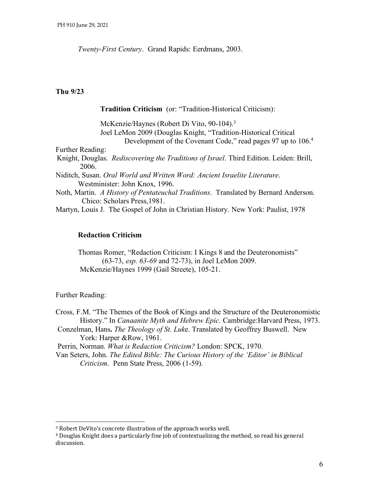*Twenty-First Century*. Grand Rapids: Eerdmans, 2003.

## **Thu 9/23**

**Tradition Criticism** (or: "Tradition-Historical Criticism):

McKenzie/Haynes (Robert Di Vito, 90-104).<sup>3</sup> Joel LeMon 2009 (Douglas Knight, "Tradition-Historical Critical Development of the Covenant Code," read pages 97 up to 106.4

Further Reading:

Knight, Douglas. *Rediscovering the Traditions of Israel*. Third Edition. Leiden: Brill, 2006.

Niditch, Susan. *Oral World and Written Word: Ancient Israelite Literature*. Westminister: John Knox, 1996.

Noth, Martin. *A History of Pentateuchal Traditions*. Translated by Bernard Anderson. Chico: Scholars Press,1981.

Martyn, Louis J. The Gospel of John in Christian History. New York: Paulist, 1978

# **Redaction Criticism**

Thomas Romer, "Redaction Criticism: I Kings 8 and the Deuteronomists" (63-73, *esp. 63-69* and 72-73), in Joel LeMon 2009. McKenzie/Haynes 1999 (Gail Streete), 105-21.

# Further Reading:

 $\overline{a}$ 

Cross, F.M. "The Themes of the Book of Kings and the Structure of the Deuteronomistic History." In *Canaanite Myth and Hebrew Epic.* Cambridge:Harvard Press, 1973.

Conzelman, Hans**.** *The Theology of St. Luk*e. Translated by Geoffrey Buswell. New York: Harper &Row, 1961.

Perrin, Norman. *What is Redaction Criticism?* London: SPCK, 1970.

Van Seters, John. *The Edited Bible: The Curious History of the 'Editor' in Biblical Criticism*. Penn State Press, 2006 (1-59).

<sup>&</sup>lt;sup>3</sup> Robert DeVito's concrete illustration of the approach works well.

 $4$  Douglas Knight does a particularly fine job of contextualizing the method, so read his general discussion.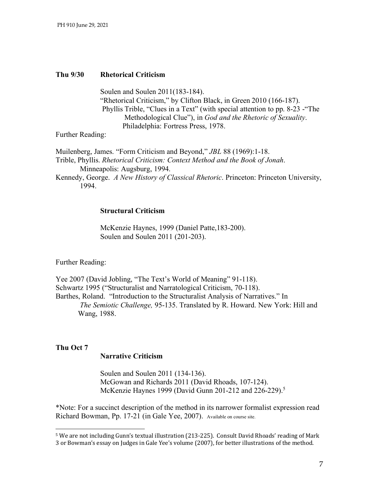## **Thu 9/30 Rhetorical Criticism**

Soulen and Soulen 2011(183-184). "Rhetorical Criticism," by Clifton Black, in Green 2010 (166-187). Phyllis Trible, "Clues in a Text" (with special attention to pp. 8-23 -"The Methodological Clue"), in *God and the Rhetoric of Sexuality*. Philadelphia: Fortress Press, 1978.

Further Reading:

Muilenberg, James. "Form Criticism and Beyond," *JBL* 88 (1969):1-18. Trible, Phyllis. *Rhetorical Criticism: Context Method and the Book of Jonah*. Minneapolis: Augsburg, 1994.

Kennedy, George. *A New History of Classical Rhetoric*. Princeton: Princeton University, 1994.

#### **Structural Criticism**

McKenzie Haynes, 1999 (Daniel Patte,183-200). Soulen and Soulen 2011 (201-203).

Further Reading:

Yee 2007 (David Jobling, "The Text's World of Meaning" 91-118). Schwartz 1995 ("Structuralist and Narratological Criticism, 70-118). Barthes, Roland. "Introduction to the Structuralist Analysis of Narratives." In *The Semiotic Challenge,* 95-135. Translated by R. Howard. New York: Hill and Wang, 1988.

## **Thu Oct 7**

 $\overline{a}$ 

## **Narrative Criticism**

Soulen and Soulen 2011 (134-136). McGowan and Richards 2011 (David Rhoads, 107-124). McKenzie Haynes 1999 (David Gunn 201-212 and 226-229).<sup>5</sup>

\*Note: For a succinct description of the method in its narrower formalist expression read Richard Bowman, Pp. 17-21 (in Gale Yee, 2007). Available on course site.

 $5$  We are not including Gunn's textual illustration (213-225). Consult David Rhoads' reading of Mark 3 or Bowman's essay on Judges in Gale Yee's volume (2007), for better illustrations of the method.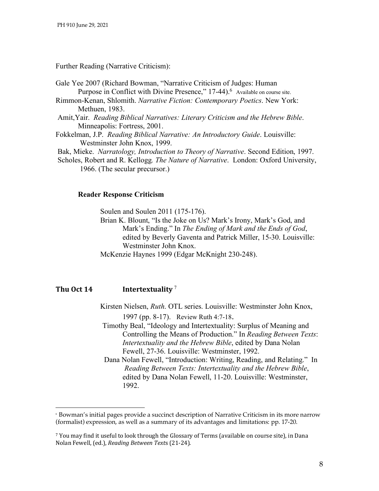#### Further Reading (Narrative Criticism):

Gale Yee 2007 (Richard Bowman, "Narrative Criticism of Judges: Human Purpose in Conflict with Divine Presence," 17-44).<sup>6</sup> Available on course site.

Rimmon-Kenan, Shlomith. *Narrative Fiction: Contemporary Poetics*. New York: Methuen, 1983.

Amit,Yair. *Reading Biblical Narratives: Literary Criticism and the Hebrew Bible*. Minneapolis: Fortress, 2001.

Fokkelman, J.P. *Reading Biblical Narrative: An Introductory Guide*. Louisville: Westminster John Knox, 1999.

Bak, Mieke. *Narratology, Introduction to Theory of Narrative*. Second Edition, 1997.

Scholes, Robert and R. Kellogg*. The Nature of Narrative*. London: Oxford University, 1966. (The secular precursor.)

## **Reader Response Criticism**

Soulen and Soulen 2011 (175-176).

Brian K. Blount, "Is the Joke on Us? Mark's Irony, Mark's God, and Mark's Ending." In *The Ending of Mark and the Ends of God*, edited by Beverly Gaventa and Patrick Miller, 15-30. Louisville: Westminster John Knox.

McKenzie Haynes 1999 (Edgar McKnight 230-248).

# **Thu Oct 14 Intertextuality** <sup>7</sup>

Kirsten Nielsen, *Ruth*. OTL series. Louisville: Westminster John Knox, 1997 (pp. 8-17). Review Ruth 4:7-18.

Timothy Beal, "Ideology and Intertextuality: Surplus of Meaning and Controlling the Means of Production." In *Reading Between Texts*: *Intertextuality and the Hebrew Bible*, edited by Dana Nolan Fewell, 27-36. Louisville: Westminster, 1992.

 Dana Nolan Fewell, "Introduction: Writing, Reading, and Relating." In *Reading Between Texts: Intertextuality and the Hebrew Bible*, edited by Dana Nolan Fewell, 11-20. Louisville: Westminster, 1992.

 <sup>6</sup> Bowman's initial pages provide a succinct description of Narrative Criticism in its more narrow (formalist) expression, as well as a summary of its advantages and limitations: pp. 17-20.

 $<sup>7</sup>$  You may find it useful to look through the Glossary of Terms (available on course site), in Dana</sup> Nolan Fewell, (ed.), *Reading Between Text*s (21-24).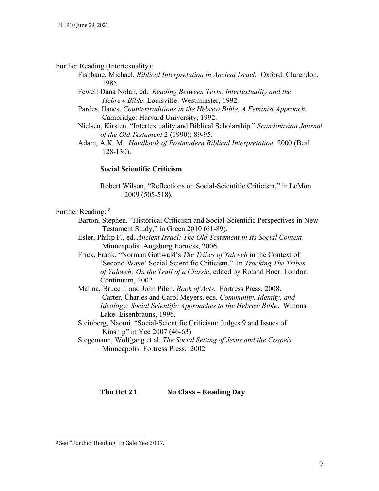#### Further Reading (Intertexuality):

- Fishbane, Michael. *Biblical Interpretation in Ancient Israel*. Oxford: Clarendon, 1985.
- Fewell Dana Nolan, ed. *Reading Between Texts*: *Intertextuality and the Hebrew Bible*. Louisville: Westminster, 1992.
- Pardes, Ilanes. *Countertraditions in the Hebrew Bible. A Feminist Approach*. Cambridge: Harvard University, 1992.
- Nielsen, Kirsten. "Intertextuality and Biblical Scholarship." *Scandinavian Journal of the Old Testament* 2 (1990): 89-95.

Adam, A.K. M. *Handbook of Postmodern Biblical Interpretation,* 2000 (Beal 128-130).

#### **Social Scientific Criticism**

Robert Wilson, "Reflections on Social-Scientific Criticism," in LeMon 2009 (505-518**)**.

## Further Reading: 8

- Barton, Stephen. "Historical Criticism and Social-Scientific Perspectives in New Testament Study," in Green 2010 (61-89).
- Esler, Philip F., ed. *Ancient Israel: The Old Testament in Its Social Context*. Minneapolis: Augsburg Fortress, 2006.
- Frick, Frank. "Norman Gottwald's *The Tribes of Yahweh* in the Context of 'Second-Wave' Social-Scientific Criticism." In *Tracking The Tribes of Yahweh: On the Trail of a Classic*, edited by Roland Boer. London: Continuum, 2002.
- Malina, Bruce J. and John Pilch. *Book of Acts*. Fortress Press, 2008. Carter, Charles and Carol Meyers, eds. *Community, Identity, and Ideology: Social Scientific Approaches to the Hebrew Bible*. Winona Lake: Eisenbrauns, 1996.
- Steinberg, Naomi. "Social-Scientific Criticism: Judges 9 and Issues of Kinship" in Yee 2007 (46-63).
- Stegemann, Wolfgang et al. *The Social Setting of Jesus and the Gospels.* Minneapolis: Fortress Press, 2002.

**Thu Oct 21 No Class – Reading Day** 

l

<sup>&</sup>lt;sup>8</sup> See "Further Reading" in Gale Yee 2007.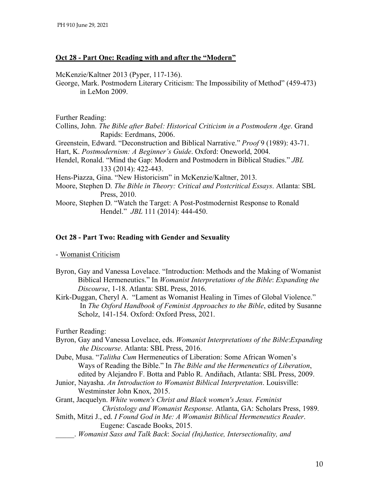# **Oct 28 - Part One: Reading with and after the "Modern"**

McKenzie/Kaltner 2013 (Pyper, 117-136).

George, Mark. Postmodern Literary Criticism: The Impossibility of Method" (459-473) in LeMon 2009.

Further Reading:

Collins, John. *The Bible after Babel: Historical Criticism in a Postmodern Age*. Grand Rapids: Eerdmans, 2006.

Greenstein, Edward. "Deconstruction and Biblical Narrative." *Proof* 9 (1989): 43-71. Hart, K. *Postmodernism: A Beginner's Guide*. Oxford: Oneworld, 2004.

Hendel, Ronald. "Mind the Gap: Modern and Postmodern in Biblical Studies." *JBL* 133 (2014): 422-443.

Hens-Piazza, Gina. "New Historicism" in McKenzie/Kaltner, 2013.

Moore, Stephen D. *The Bible in Theory: Critical and Postcritical Essays*. Atlanta: SBL Press, 2010.

Moore, Stephen D. "Watch the Target: A Post-Postmodernist Response to Ronald Hendel." *JBL* 111 (2014): 444-450.

# **Oct 28 - Part Two: Reading with Gender and Sexuality**

- Womanist Criticism

- Byron, Gay and Vanessa Lovelace. "Introduction: Methods and the Making of Womanist Biblical Hermeneutics." In *Womanist Interpretations of the Bible*: *Expanding the Discourse*, 1-18. Atlanta: SBL Press, 2016.
- Kirk-Duggan, Cheryl A. "Lament as Womanist Healing in Times of Global Violence." In *The Oxford Handbook of Feminist Approaches to the Bible*, edited by Susanne Scholz, 141-154. Oxford: Oxford Press, 2021.

Further Reading:

- Byron, Gay and Vanessa Lovelace, eds. *Womanist Interpretations of the Bible*:*Expanding the Discourse*. Atlanta: SBL Press, 2016.
- Dube, Musa. "*Talitha Cum* Hermeneutics of Liberation: Some African Women's Ways of Reading the Bible." In *The Bible and the Hermeneutics of Liberation*, edited by Alejandro F. Botta and Pablo R. Andiñach, Atlanta: SBL Press, 2009.
- Junior, Nayasha. *An Introduction to Womanist Biblical Interpretation*. Louisville: Westminster John Knox, 2015.

Grant, Jacquelyn. *White women's Christ and Black women's Jesus. Feminist*

*Christology and Womanist Response*. Atlanta, GA: Scholars Press, 1989.

- Smith, Mitzi J., ed. *I Found God in Me: A Womanist Biblical Hermeneutics Reader*. Eugene: Cascade Books, 2015.
- \_\_\_\_\_. *Womanist Sass and Talk Back*: *Social (In)Justice, Intersectionality, and*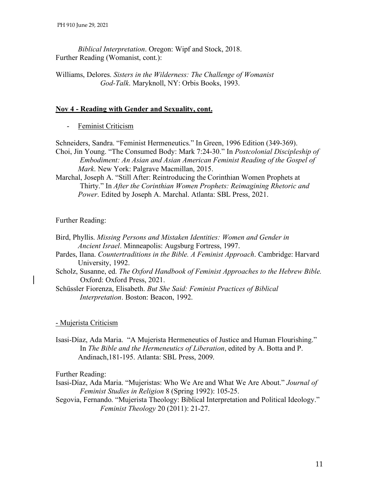*Biblical Interpretation*. Oregon: Wipf and Stock, 2018. Further Reading (Womanist, cont.):

Williams, Delores. *Sisters in the Wilderness: The Challenge of Womanist God-Talk*. Maryknoll, NY: Orbis Books, 1993.

# **Nov 4 - Reading with Gender and Sexuality, cont.**

- Feminist Criticism

Schneiders, Sandra. "Feminist Hermeneutics." In Green, 1996 Edition (349-369).

- Choi, Jin Young. "The Consumed Body: Mark 7:24-30." In *Postcolonial Discipleship of Embodiment: An Asian and Asian American Feminist Reading of the Gospel of Mark*. New York: Palgrave Macmillan, 2015.
- Marchal, Joseph A. "Still After: Reintroducing the Corinthian Women Prophets at Thirty." In *After the Corinthian Women Prophets: Reimagining Rhetoric and Power*. Edited by Joseph A. Marchal. Atlanta: SBL Press, 2021.

Further Reading:

- Bird, Phyllis. *Missing Persons and Mistaken Identities: Women and Gender in Ancient Israel*. Minneapolis: Augsburg Fortress, 1997.
- Pardes, Ilana. *Countertraditions in the Bible. A Feminist Approach*. Cambridge: Harvard University, 1992.
- Scholz, Susanne, ed. *The Oxford Handbook of Feminist Approaches to the Hebrew Bible.* Oxford: Oxford Press, 2021.
- Schüssler Fiorenza, Elisabeth. *But She Said: Feminist Practices of Biblical Interpretation*. Boston: Beacon, 1992.

# - Mujerista Criticism

Isasi-Díaz, Ada Maria. "A Mujerista Hermeneutics of Justice and Human Flourishing." In *The Bible and the Hermeneutics of Liberation*, edited by A. Botta and P. Andinach,181-195. Atlanta: SBL Press, 2009.

Further Reading:

- Isasi-Díaz, Ada Maria. "Mujeristas: Who We Are and What We Are About." *Journal of Feminist Studies in Religion* 8 (Spring 1992): 105-25.
- Segovia, Fernando. "Mujerista Theology: Biblical Interpretation and Political Ideology." *Feminist Theology* 20 (2011): 21-27.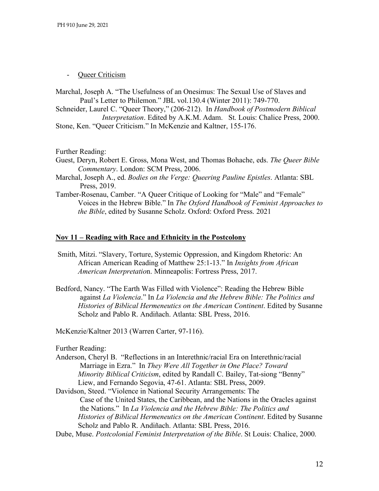- Queer Criticism

Marchal, Joseph A. "The Usefulness of an Onesimus: The Sexual Use of Slaves and Paul's Letter to Philemon." JBL vol.130.4 (Winter 2011): 749-770.

Schneider, Laurel C. "Queer Theory," (206-212). In *Handbook of Postmodern Biblical Interpretation*. Edited by A.K.M. Adam. St. Louis: Chalice Press, 2000.

Stone, Ken. "Queer Criticism." In McKenzie and Kaltner, 155-176.

Further Reading:

Guest, Deryn, Robert E. Gross, Mona West, and Thomas Bohache, eds. *The Queer Bible Commentary*. London: SCM Press, 2006.

Marchal, Joseph A., ed. *Bodies on the Verge: Queering Pauline Epistles*. Atlanta: SBL Press, 2019.

Tamber-Rosenau, Camber. "A Queer Critique of Looking for "Male" and "Female" Voices in the Hebrew Bible." In *The Oxford Handbook of Feminist Approaches to the Bible*, edited by Susanne Scholz. Oxford: Oxford Press. 2021

#### **Nov 11 – Reading with Race and Ethnicity in the Postcolony**

- Smith, Mitzi. "Slavery, Torture, Systemic Oppression, and Kingdom Rhetoric: An African American Reading of Matthew 25:1-13." In *Insights from African American Interpretatio*n. Minneapolis: Fortress Press, 2017.
- Bedford, Nancy. "The Earth Was Filled with Violence": Reading the Hebrew Bible against *La Violencia*." In *La Violencia and the Hebrew Bible: The Politics and Histories of Biblical Hermeneutics on the American Continent*. Edited by Susanne Scholz and Pablo R. Andiñach. Atlanta: SBL Press, 2016.

McKenzie/Kaltner 2013 (Warren Carter, 97-116).

Further Reading:

- Anderson, Cheryl B. "Reflections in an Interethnic/racial Era on Interethnic/racial Marriage in Ezra."In *They Were All Together in One Place? Toward Minority Biblical Criticism*, edited by Randall C. Bailey, Tat-siong "Benny" Liew, and Fernando Segovia, 47-61. Atlanta: SBL Press, 2009.
- Davidson, Steed. "Violence in National Security Arrangements: The Case of the United States, the Caribbean, and the Nations in the Oracles against the Nations." In *La Violencia and the Hebrew Bible: The Politics and Histories of Biblical Hermeneutics on the American Continent*. Edited by Susanne Scholz and Pablo R. Andiñach. Atlanta: SBL Press, 2016.

Dube, Muse. *Postcolonial Feminist Interpretation of the Bible*. St Louis: Chalice, 2000.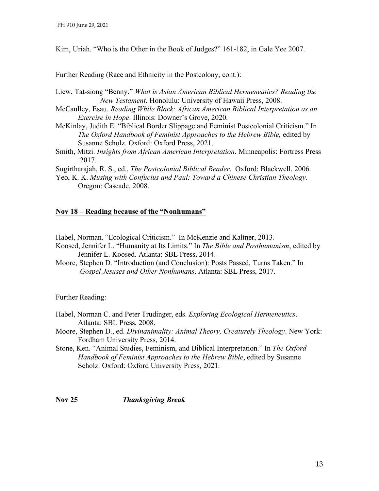Kim, Uriah. "Who is the Other in the Book of Judges?" 161-182, in Gale Yee 2007.

Further Reading (Race and Ethnicity in the Postcolony, cont.):

- Liew, Tat-siong "Benny." *What is Asian American Biblical Hermeneutics? Reading the New Testament*. Honolulu: University of Hawaii Press, 2008.
- McCaulley, Esau. *Reading While Black: African American Biblical Interpretation as an Exercise in Hope*. Illinois: Downer's Grove, 2020.
- McKinlay, Judith E. "Biblical Border Slippage and Feminist Postcolonial Criticism." In *The Oxford Handbook of Feminist Approaches to the Hebrew Bible,* edited by Susanne Scholz. Oxford: Oxford Press, 2021.
- Smith, Mitzi. *Insights from African American Interpretation*. Minneapolis: Fortress Press 2017.

Sugirtharajah, R. S., ed., *The Postcolonial Biblical Reader*. Oxford: Blackwell, 2006.

Yeo, K. K. *Musing with Confucius and Paul: Toward a Chinese Christian Theology*. Oregon: Cascade, 2008.

# **Nov 18 – Reading because of the "Nonhumans"**

Habel, Norman. "Ecological Criticism."In McKenzie and Kaltner, 2013.

- Koosed, Jennifer L. "Humanity at Its Limits." In *The Bible and Posthumanism*, edited by Jennifer L. Koosed. Atlanta: SBL Press, 2014.
- Moore, Stephen D. "Introduction (and Conclusion): Posts Passed, Turns Taken." In *Gospel Jesuses and Other Nonhumans*. Atlanta: SBL Press, 2017.

Further Reading:

- Habel, Norman C. and Peter Trudinger, eds. *Exploring Ecological Hermeneutics*. Atlanta: SBL Press, 2008.
- Moore, Stephen D., ed. *Divinanimality: Animal Theory, Creaturely Theology*. New York: Fordham University Press, 2014.
- Stone, Ken. "Animal Studies, Feminism, and Biblical Interpretation." In *The Oxford Handbook of Feminist Approaches to the Hebrew Bible*, edited by Susanne Scholz. Oxford: Oxford University Press, 2021.

**Nov 25** *Thanksgiving Break*